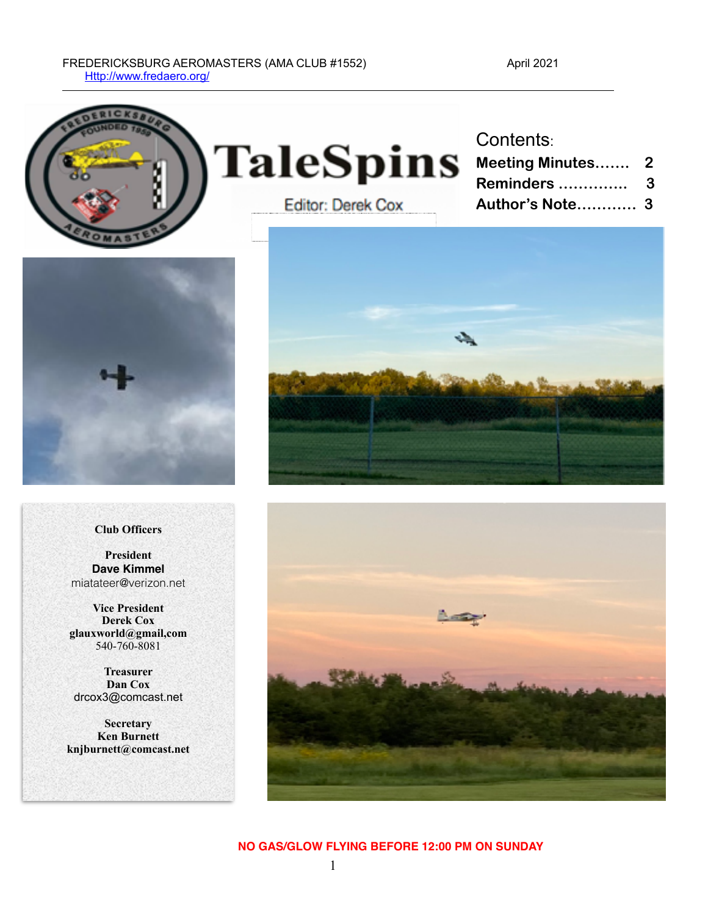#### FREDERICKSBURG AEROMASTERS (AMA CLUB #1552) April 2021 [Http://www.fredaero.org/](http://www.fredaero.org/)



**TaleSpins** 

**Editor: Derek Cox** 

#### Contents:

| Meeting Minutes 2 |              |
|-------------------|--------------|
| Reminders         | $\mathbf{3}$ |
| Author's Note 3   |              |



#### **Club Officers**

**President Dave Kimmel** miatateer@verizon.net

**Vice President Derek Cox glauxworld@gmail,com**  540-760-8081

**Treasurer Dan Cox** drcox3@comcast.net

**Secretary Ken Burnett knjburnett@comcast.net**





#### **NO GAS/GLOW FLYING BEFORE 12:00 PM ON SUNDAY**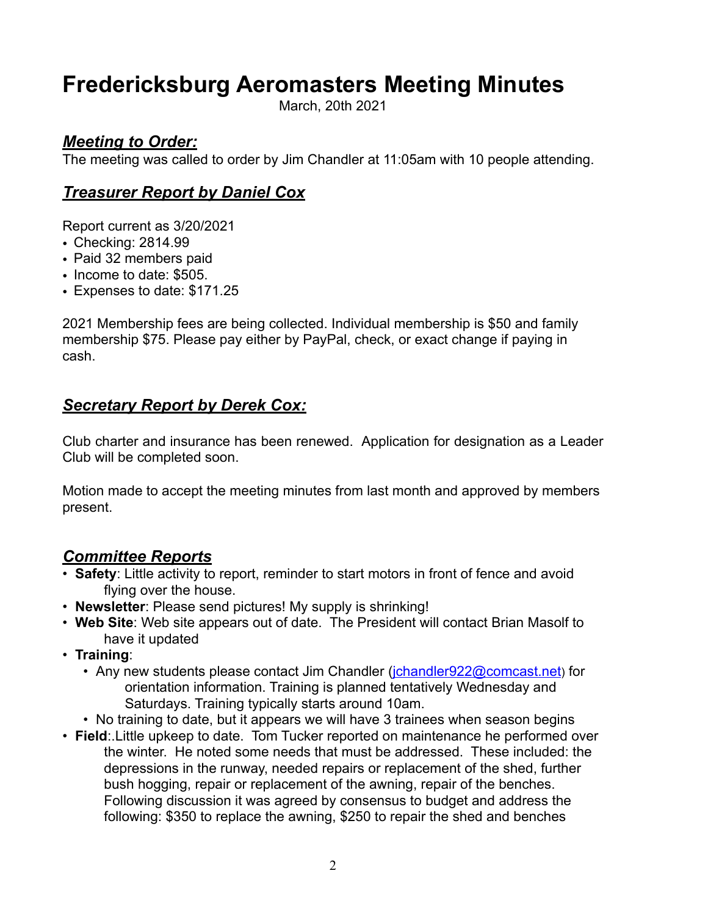# **Fredericksburg Aeromasters Meeting Minutes**

March, 20th 2021

#### *Meeting to Order:*

The meeting was called to order by Jim Chandler at 11:05am with 10 people attending.

## *Treasurer Report by Daniel Cox*

Report current as 3/20/2021

- Checking: 2814.99
- Paid 32 members paid
- Income to date: \$505.
- Expenses to date: \$171.25

2021 Membership fees are being collected. Individual membership is \$50 and family membership \$75. Please pay either by PayPal, check, or exact change if paying in cash.

## *Secretary Report by Derek Cox:*

Club charter and insurance has been renewed. Application for designation as a Leader Club will be completed soon.

Motion made to accept the meeting minutes from last month and approved by members present.

## *Committee Reports*

- **Safety**: Little activity to report, reminder to start motors in front of fence and avoid flying over the house.
- **Newsletter**: Please send pictures! My supply is shrinking!
- **Web Site**: Web site appears out of date. The President will contact Brian Masolf to have it updated
- **Training**:
	- Any new students please contact Jim Chandler (*[jchandler922@comcast.net](mailto:jchandler922@comcast.net)*) for orientation information. Training is planned tentatively Wednesday and Saturdays. Training typically starts around 10am.
	- No training to date, but it appears we will have 3 trainees when season begins
- **Field**:.Little upkeep to date. Tom Tucker reported on maintenance he performed over the winter. He noted some needs that must be addressed. These included: the depressions in the runway, needed repairs or replacement of the shed, further bush hogging, repair or replacement of the awning, repair of the benches. Following discussion it was agreed by consensus to budget and address the following: \$350 to replace the awning, \$250 to repair the shed and benches